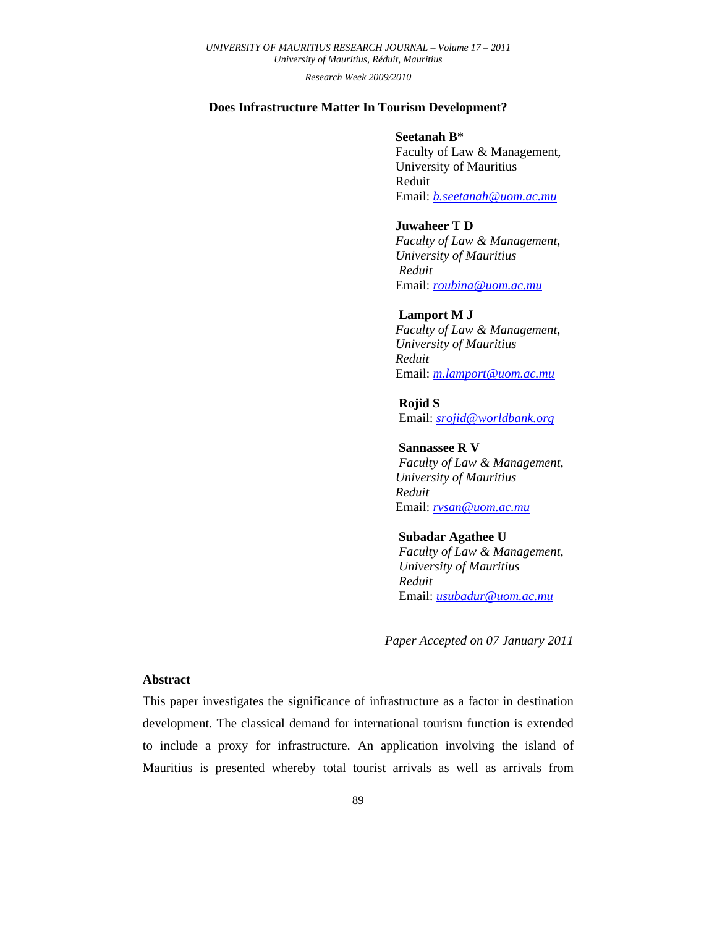*Research Week 2009/2010*

## **Does Infrastructure Matter In Tourism Development?**

### **Seetanah B**\*

Faculty of Law & Management, University of Mauritius Reduit Email: *b.seetanah@uom.ac.mu*

# **Juwaheer T D**

*Faculty of Law & Management, University of Mauritius Reduit* Email: *roubina@uom.ac.mu*

## **Lamport M J**

*Faculty of Law & Management, University of Mauritius Reduit* Email: *m.lamport@uom.ac.mu*

#### **Rojid S**

Email: *srojid@worldbank.org*

## **Sannassee R V**

*Faculty of Law & Management, University of Mauritius Reduit* Email: *rvsan@uom.ac.mu*

#### **Subadar Agathee U**

*Faculty of Law & Management, University of Mauritius Reduit* Email: *usubadur@uom.ac.mu*

*Paper Accepted on 07 January 2011* 

## **Abstract**

This paper investigates the significance of infrastructure as a factor in destination development. The classical demand for international tourism function is extended to include a proxy for infrastructure. An application involving the island of Mauritius is presented whereby total tourist arrivals as well as arrivals from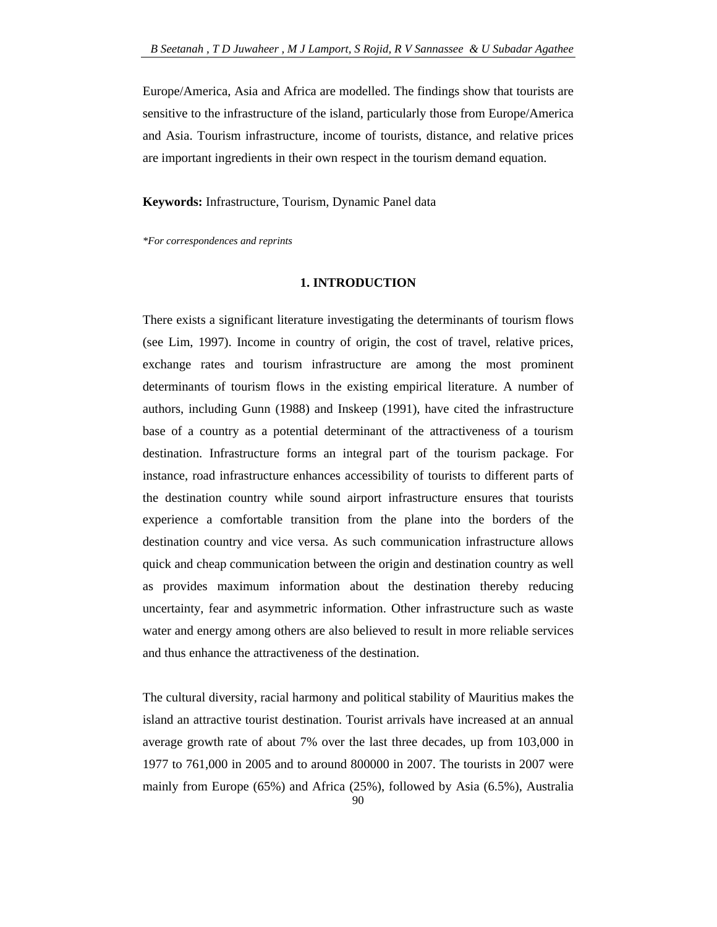Europe/America, Asia and Africa are modelled. The findings show that tourists are sensitive to the infrastructure of the island, particularly those from Europe/America and Asia. Tourism infrastructure, income of tourists, distance, and relative prices are important ingredients in their own respect in the tourism demand equation.

**Keywords:** Infrastructure, Tourism, Dynamic Panel data

*\*For correspondences and reprints* 

### **1. INTRODUCTION**

There exists a significant literature investigating the determinants of tourism flows (see Lim, 1997). Income in country of origin, the cost of travel, relative prices, exchange rates and tourism infrastructure are among the most prominent determinants of tourism flows in the existing empirical literature. A number of authors, including Gunn (1988) and Inskeep (1991), have cited the infrastructure base of a country as a potential determinant of the attractiveness of a tourism destination. Infrastructure forms an integral part of the tourism package. For instance, road infrastructure enhances accessibility of tourists to different parts of the destination country while sound airport infrastructure ensures that tourists experience a comfortable transition from the plane into the borders of the destination country and vice versa. As such communication infrastructure allows quick and cheap communication between the origin and destination country as well as provides maximum information about the destination thereby reducing uncertainty, fear and asymmetric information. Other infrastructure such as waste water and energy among others are also believed to result in more reliable services and thus enhance the attractiveness of the destination.

The cultural diversity, racial harmony and political stability of Mauritius makes the island an attractive tourist destination. Tourist arrivals have increased at an annual average growth rate of about 7% over the last three decades, up from 103,000 in 1977 to 761,000 in 2005 and to around 800000 in 2007. The tourists in 2007 were mainly from Europe (65%) and Africa (25%), followed by Asia (6.5%), Australia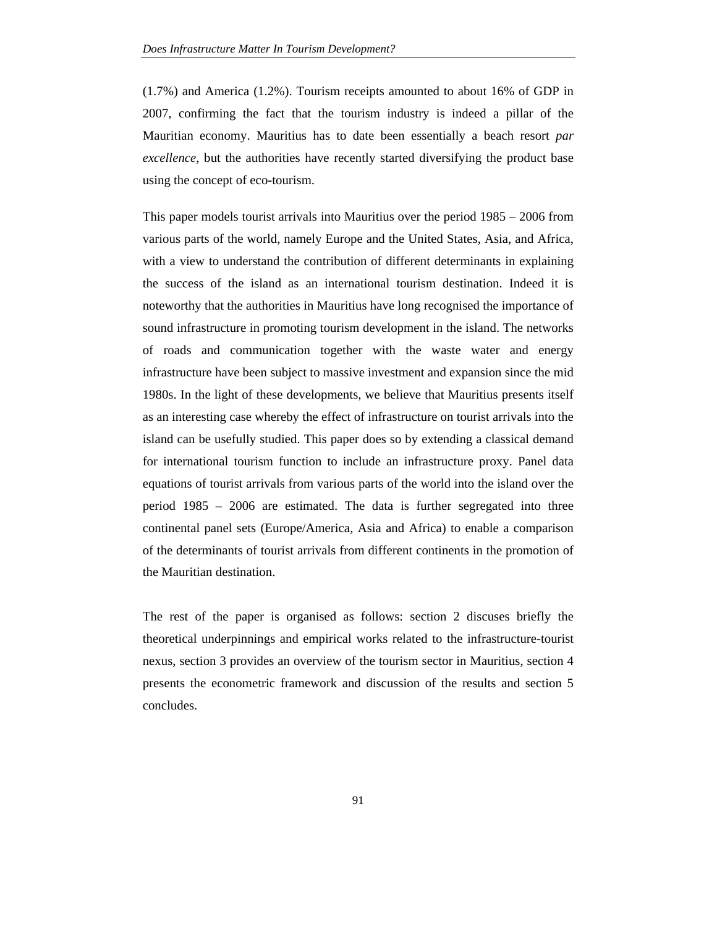(1.7%) and America (1.2%). Tourism receipts amounted to about 16% of GDP in 2007, confirming the fact that the tourism industry is indeed a pillar of the Mauritian economy. Mauritius has to date been essentially a beach resort *par excellence*, but the authorities have recently started diversifying the product base using the concept of eco-tourism.

This paper models tourist arrivals into Mauritius over the period 1985 – 2006 from various parts of the world, namely Europe and the United States, Asia, and Africa, with a view to understand the contribution of different determinants in explaining the success of the island as an international tourism destination. Indeed it is noteworthy that the authorities in Mauritius have long recognised the importance of sound infrastructure in promoting tourism development in the island. The networks of roads and communication together with the waste water and energy infrastructure have been subject to massive investment and expansion since the mid 1980s. In the light of these developments, we believe that Mauritius presents itself as an interesting case whereby the effect of infrastructure on tourist arrivals into the island can be usefully studied. This paper does so by extending a classical demand for international tourism function to include an infrastructure proxy. Panel data equations of tourist arrivals from various parts of the world into the island over the period 1985 – 2006 are estimated. The data is further segregated into three continental panel sets (Europe/America, Asia and Africa) to enable a comparison of the determinants of tourist arrivals from different continents in the promotion of the Mauritian destination.

The rest of the paper is organised as follows: section 2 discuses briefly the theoretical underpinnings and empirical works related to the infrastructure-tourist nexus, section 3 provides an overview of the tourism sector in Mauritius, section 4 presents the econometric framework and discussion of the results and section 5 concludes.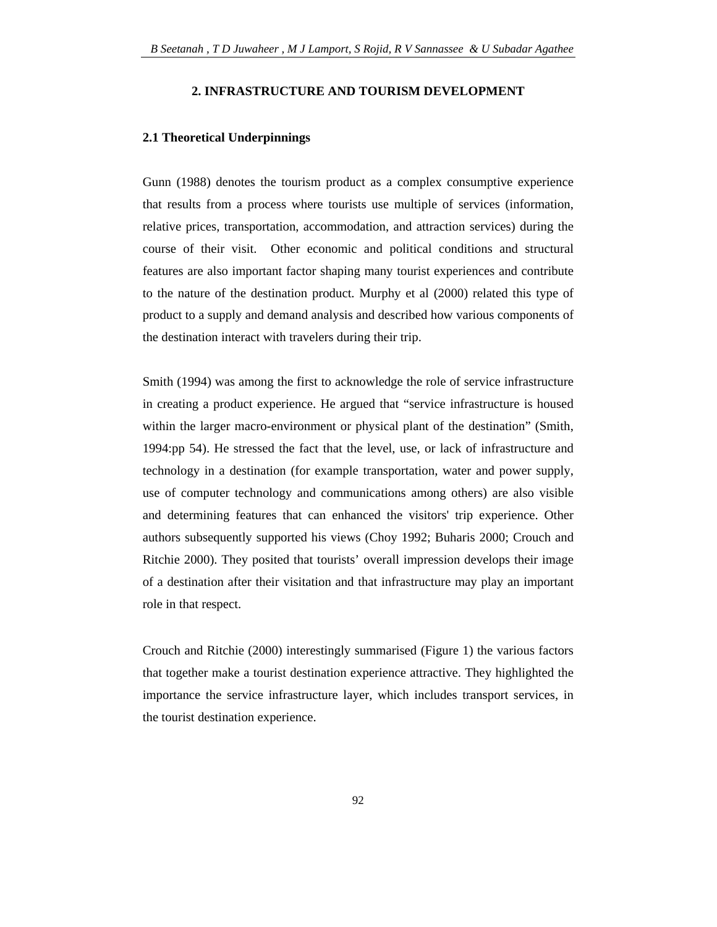#### **2. INFRASTRUCTURE AND TOURISM DEVELOPMENT**

#### **2.1 Theoretical Underpinnings**

Gunn (1988) denotes the tourism product as a complex consumptive experience that results from a process where tourists use multiple of services (information, relative prices, transportation, accommodation, and attraction services) during the course of their visit. Other economic and political conditions and structural features are also important factor shaping many tourist experiences and contribute to the nature of the destination product. Murphy et al (2000) related this type of product to a supply and demand analysis and described how various components of the destination interact with travelers during their trip.

Smith (1994) was among the first to acknowledge the role of service infrastructure in creating a product experience. He argued that "service infrastructure is housed within the larger macro-environment or physical plant of the destination" (Smith, 1994:pp 54). He stressed the fact that the level, use, or lack of infrastructure and technology in a destination (for example transportation, water and power supply, use of computer technology and communications among others) are also visible and determining features that can enhanced the visitors' trip experience. Other authors subsequently supported his views (Choy 1992; Buharis 2000; Crouch and Ritchie 2000). They posited that tourists' overall impression develops their image of a destination after their visitation and that infrastructure may play an important role in that respect.

Crouch and Ritchie (2000) interestingly summarised (Figure 1) the various factors that together make a tourist destination experience attractive. They highlighted the importance the service infrastructure layer, which includes transport services, in the tourist destination experience.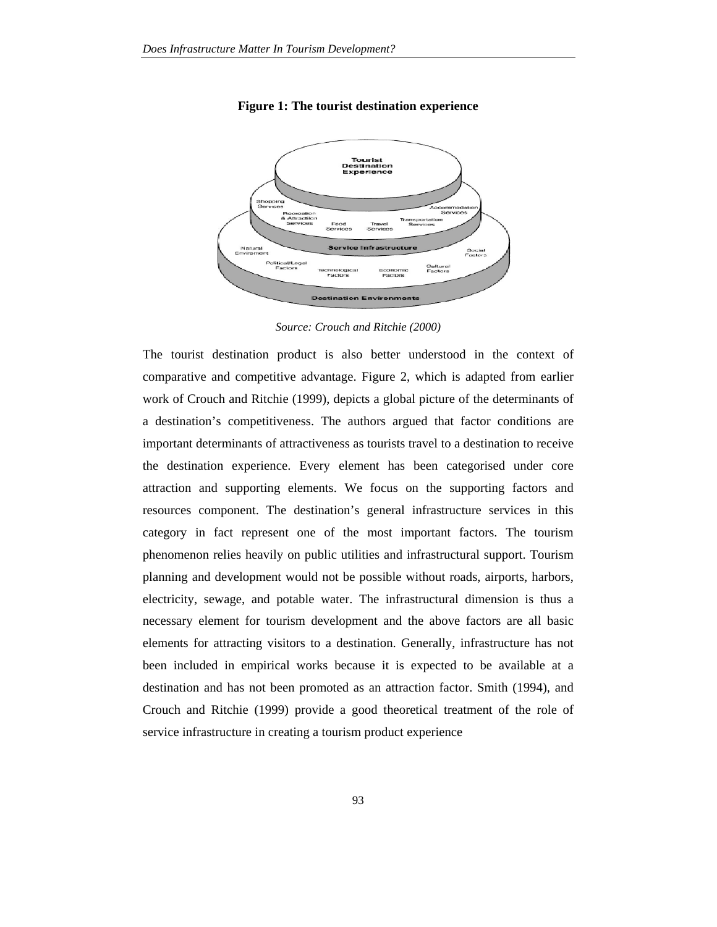

**Figure 1: The tourist destination experience** 

*Source: Crouch and Ritchie (2000)* 

The tourist destination product is also better understood in the context of comparative and competitive advantage. Figure 2, which is adapted from earlier work of Crouch and Ritchie (1999), depicts a global picture of the determinants of a destination's competitiveness. The authors argued that factor conditions are important determinants of attractiveness as tourists travel to a destination to receive the destination experience. Every element has been categorised under core attraction and supporting elements. We focus on the supporting factors and resources component. The destination's general infrastructure services in this category in fact represent one of the most important factors. The tourism phenomenon relies heavily on public utilities and infrastructural support. Tourism planning and development would not be possible without roads, airports, harbors, electricity, sewage, and potable water. The infrastructural dimension is thus a necessary element for tourism development and the above factors are all basic elements for attracting visitors to a destination. Generally, infrastructure has not been included in empirical works because it is expected to be available at a destination and has not been promoted as an attraction factor. Smith (1994), and Crouch and Ritchie (1999) provide a good theoretical treatment of the role of service infrastructure in creating a tourism product experience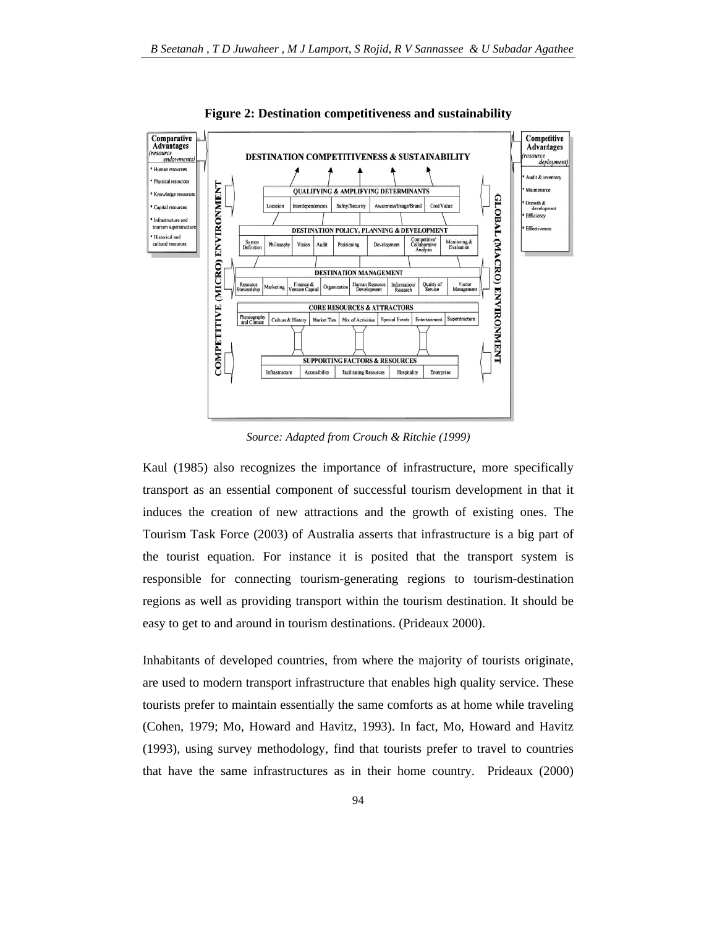

**Figure 2: Destination competitiveness and sustainability**

*Source: Adapted from Crouch & Ritchie (1999)* 

Kaul (1985) also recognizes the importance of infrastructure, more specifically transport as an essential component of successful tourism development in that it induces the creation of new attractions and the growth of existing ones. The Tourism Task Force (2003) of Australia asserts that infrastructure is a big part of the tourist equation. For instance it is posited that the transport system is responsible for connecting tourism-generating regions to tourism-destination regions as well as providing transport within the tourism destination. It should be easy to get to and around in tourism destinations. (Prideaux 2000).

Inhabitants of developed countries, from where the majority of tourists originate, are used to modern transport infrastructure that enables high quality service. These tourists prefer to maintain essentially the same comforts as at home while traveling (Cohen, 1979; Mo, Howard and Havitz, 1993). In fact, Mo, Howard and Havitz (1993), using survey methodology, find that tourists prefer to travel to countries that have the same infrastructures as in their home country. Prideaux (2000)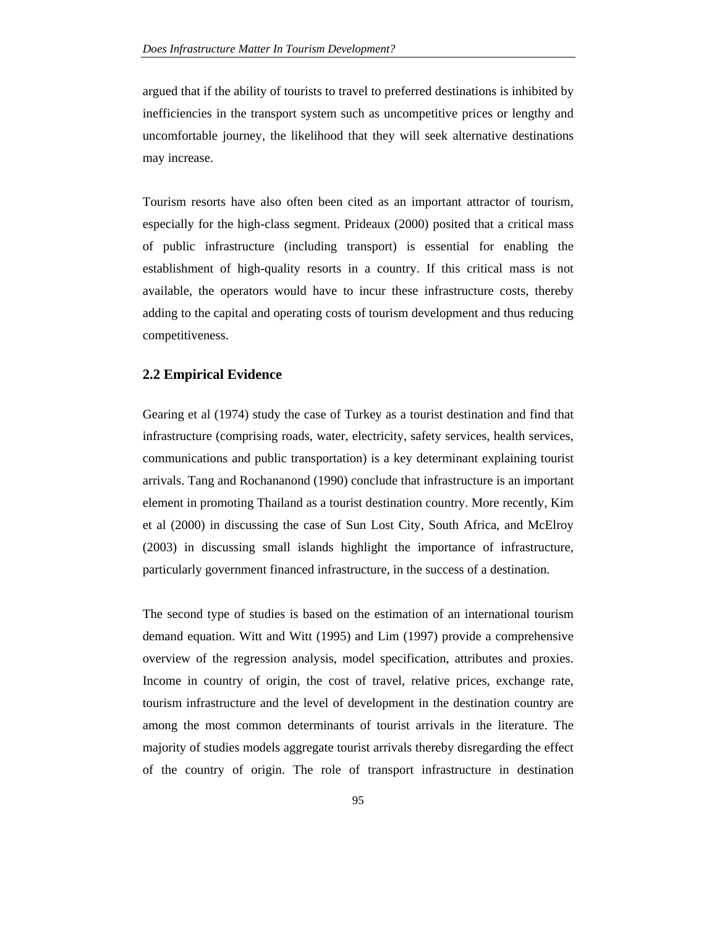argued that if the ability of tourists to travel to preferred destinations is inhibited by inefficiencies in the transport system such as uncompetitive prices or lengthy and uncomfortable journey, the likelihood that they will seek alternative destinations may increase.

Tourism resorts have also often been cited as an important attractor of tourism, especially for the high-class segment. Prideaux (2000) posited that a critical mass of public infrastructure (including transport) is essential for enabling the establishment of high-quality resorts in a country. If this critical mass is not available, the operators would have to incur these infrastructure costs, thereby adding to the capital and operating costs of tourism development and thus reducing competitiveness.

### **2.2 Empirical Evidence**

Gearing et al (1974) study the case of Turkey as a tourist destination and find that infrastructure (comprising roads, water, electricity, safety services, health services, communications and public transportation) is a key determinant explaining tourist arrivals. Tang and Rochananond (1990) conclude that infrastructure is an important element in promoting Thailand as a tourist destination country. More recently, Kim et al (2000) in discussing the case of Sun Lost City, South Africa, and McElroy (2003) in discussing small islands highlight the importance of infrastructure, particularly government financed infrastructure, in the success of a destination.

The second type of studies is based on the estimation of an international tourism demand equation. Witt and Witt (1995) and Lim (1997) provide a comprehensive overview of the regression analysis, model specification, attributes and proxies. Income in country of origin, the cost of travel, relative prices, exchange rate, tourism infrastructure and the level of development in the destination country are among the most common determinants of tourist arrivals in the literature. The majority of studies models aggregate tourist arrivals thereby disregarding the effect of the country of origin. The role of transport infrastructure in destination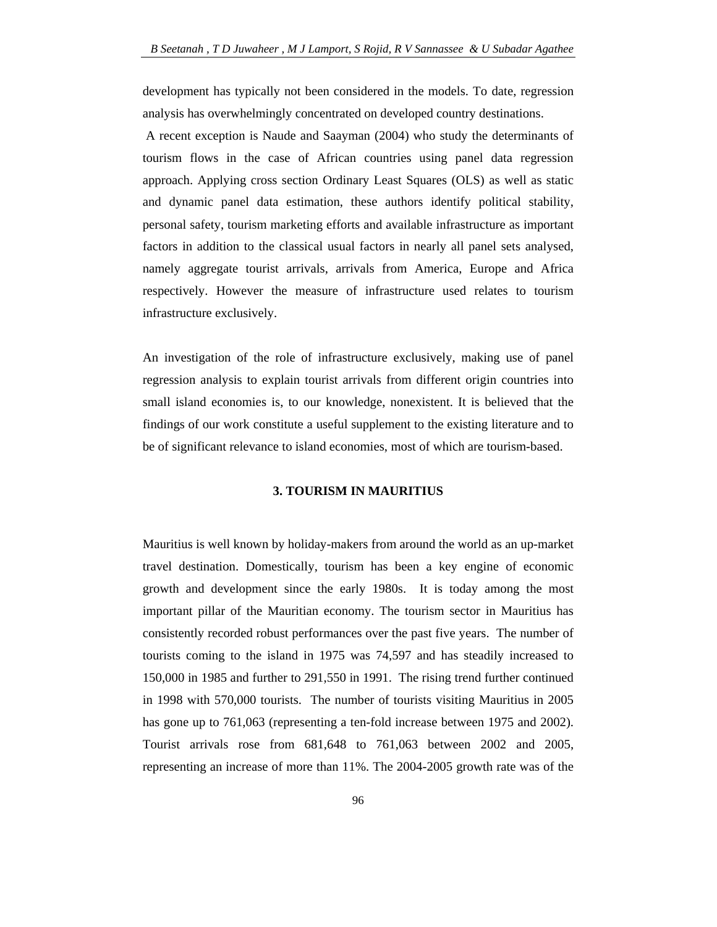development has typically not been considered in the models. To date, regression analysis has overwhelmingly concentrated on developed country destinations.

 A recent exception is Naude and Saayman (2004) who study the determinants of tourism flows in the case of African countries using panel data regression approach. Applying cross section Ordinary Least Squares (OLS) as well as static and dynamic panel data estimation, these authors identify political stability, personal safety, tourism marketing efforts and available infrastructure as important factors in addition to the classical usual factors in nearly all panel sets analysed, namely aggregate tourist arrivals, arrivals from America, Europe and Africa respectively. However the measure of infrastructure used relates to tourism infrastructure exclusively.

An investigation of the role of infrastructure exclusively, making use of panel regression analysis to explain tourist arrivals from different origin countries into small island economies is, to our knowledge, nonexistent. It is believed that the findings of our work constitute a useful supplement to the existing literature and to be of significant relevance to island economies, most of which are tourism-based.

#### **3. TOURISM IN MAURITIUS**

Mauritius is well known by holiday-makers from around the world as an up-market travel destination. Domestically, tourism has been a key engine of economic growth and development since the early 1980s. It is today among the most important pillar of the Mauritian economy. The tourism sector in Mauritius has consistently recorded robust performances over the past five years. The number of tourists coming to the island in 1975 was 74,597 and has steadily increased to 150,000 in 1985 and further to 291,550 in 1991. The rising trend further continued in 1998 with 570,000 tourists. The number of tourists visiting Mauritius in 2005 has gone up to 761,063 (representing a ten-fold increase between 1975 and 2002). Tourist arrivals rose from 681,648 to 761,063 between 2002 and 2005, representing an increase of more than 11%. The 2004-2005 growth rate was of the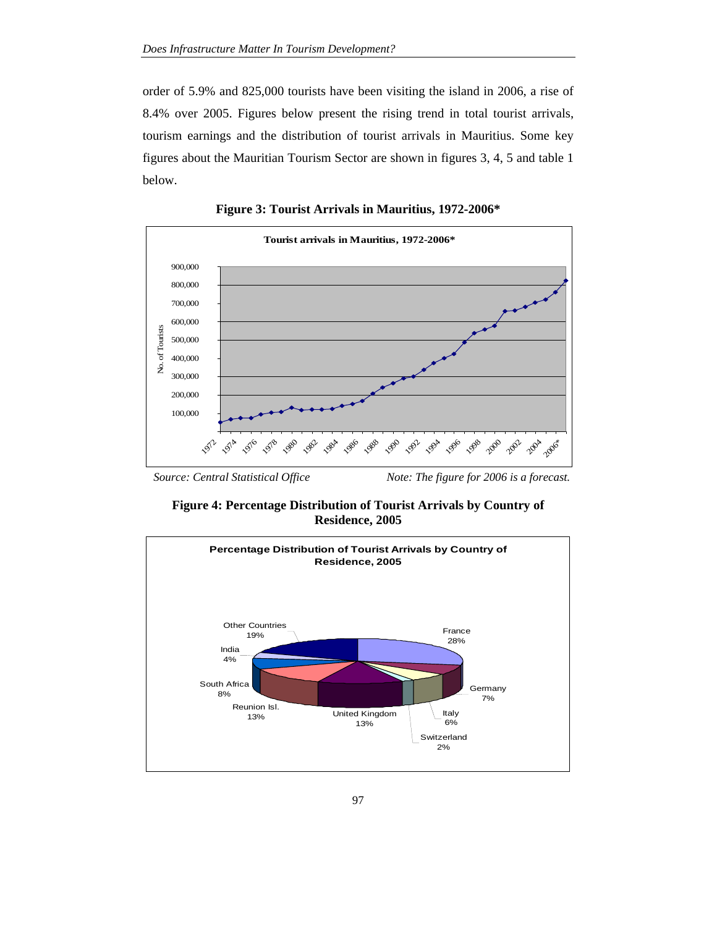order of 5.9% and 825,000 tourists have been visiting the island in 2006, a rise of 8.4% over 2005. Figures below present the rising trend in total tourist arrivals, tourism earnings and the distribution of tourist arrivals in Mauritius. Some key figures about the Mauritian Tourism Sector are shown in figures 3, 4, 5 and table 1 below.



**Figure 3: Tourist Arrivals in Mauritius, 1972-2006\*** 

*Source: Central Statistical Office Note: The figure for 2006 is a forecast.* 

**Figure 4: Percentage Distribution of Tourist Arrivals by Country of Residence, 2005** 

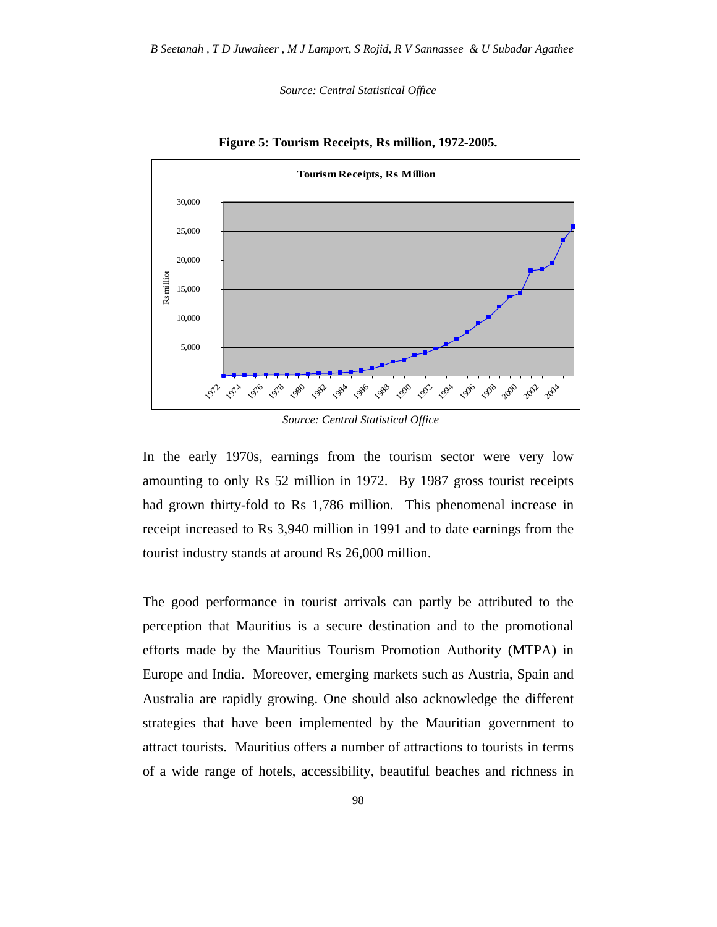*Source: Central Statistical Office* 



**Figure 5: Tourism Receipts, Rs million, 1972-2005.** 

*Source: Central Statistical Office*

In the early 1970s, earnings from the tourism sector were very low amounting to only Rs 52 million in 1972. By 1987 gross tourist receipts had grown thirty-fold to Rs 1,786 million. This phenomenal increase in receipt increased to Rs 3,940 million in 1991 and to date earnings from the tourist industry stands at around Rs 26,000 million.

The good performance in tourist arrivals can partly be attributed to the perception that Mauritius is a secure destination and to the promotional efforts made by the Mauritius Tourism Promotion Authority (MTPA) in Europe and India. Moreover, emerging markets such as Austria, Spain and Australia are rapidly growing. One should also acknowledge the different strategies that have been implemented by the Mauritian government to attract tourists. Mauritius offers a number of attractions to tourists in terms of a wide range of hotels, accessibility, beautiful beaches and richness in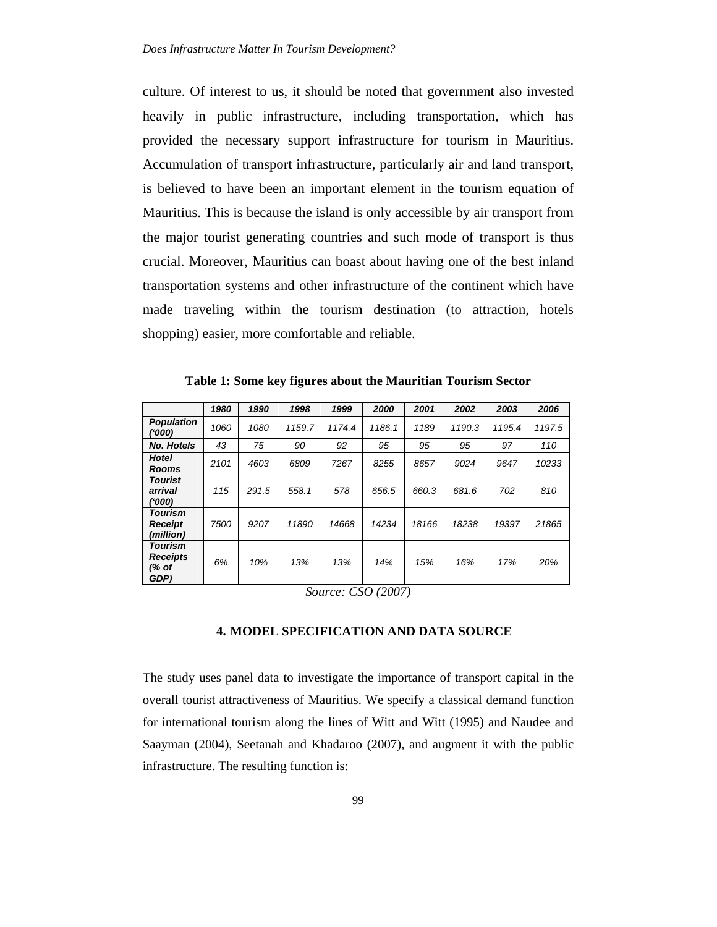culture. Of interest to us, it should be noted that government also invested heavily in public infrastructure, including transportation, which has provided the necessary support infrastructure for tourism in Mauritius. Accumulation of transport infrastructure, particularly air and land transport, is believed to have been an important element in the tourism equation of Mauritius. This is because the island is only accessible by air transport from the major tourist generating countries and such mode of transport is thus crucial. Moreover, Mauritius can boast about having one of the best inland transportation systems and other infrastructure of the continent which have made traveling within the tourism destination (to attraction, hotels shopping) easier, more comfortable and reliable.

|                                                    | 1980 | 1990  | 1998   | 1999   | 2000   | 2001  | 2002   | 2003   | 2006   |
|----------------------------------------------------|------|-------|--------|--------|--------|-------|--------|--------|--------|
| <b>Population</b><br>('000)                        | 1060 | 1080  | 1159.7 | 1174.4 | 1186.1 | 1189  | 1190.3 | 1195.4 | 1197.5 |
| <b>No. Hotels</b>                                  | 43   | 75    | 90     | 92     | 95     | 95    | 95     | 97     | 110    |
| <b>Hotel</b><br>Rooms                              | 2101 | 4603  | 6809   | 7267   | 8255   | 8657  | 9024   | 9647   | 10233  |
| <b>Tourist</b><br>arrival<br>('000)                | 115  | 291.5 | 558.1  | 578    | 656.5  | 660.3 | 681.6  | 702    | 810    |
| <b>Tourism</b><br>Receipt<br>(million)             | 7500 | 9207  | 11890  | 14668  | 14234  | 18166 | 18238  | 19397  | 21865  |
| <b>Tourism</b><br><b>Receipts</b><br>(% of<br>GDP) | 6%   | 10%   | 13%    | 13%    | 14%    | 15%   | 16%    | 17%    | 20%    |

**Table 1: Some key figures about the Mauritian Tourism Sector** 

*Source: CSO (2007)* 

## **4. MODEL SPECIFICATION AND DATA SOURCE**

The study uses panel data to investigate the importance of transport capital in the overall tourist attractiveness of Mauritius. We specify a classical demand function for international tourism along the lines of Witt and Witt (1995) and Naudee and Saayman (2004), Seetanah and Khadaroo (2007), and augment it with the public infrastructure. The resulting function is: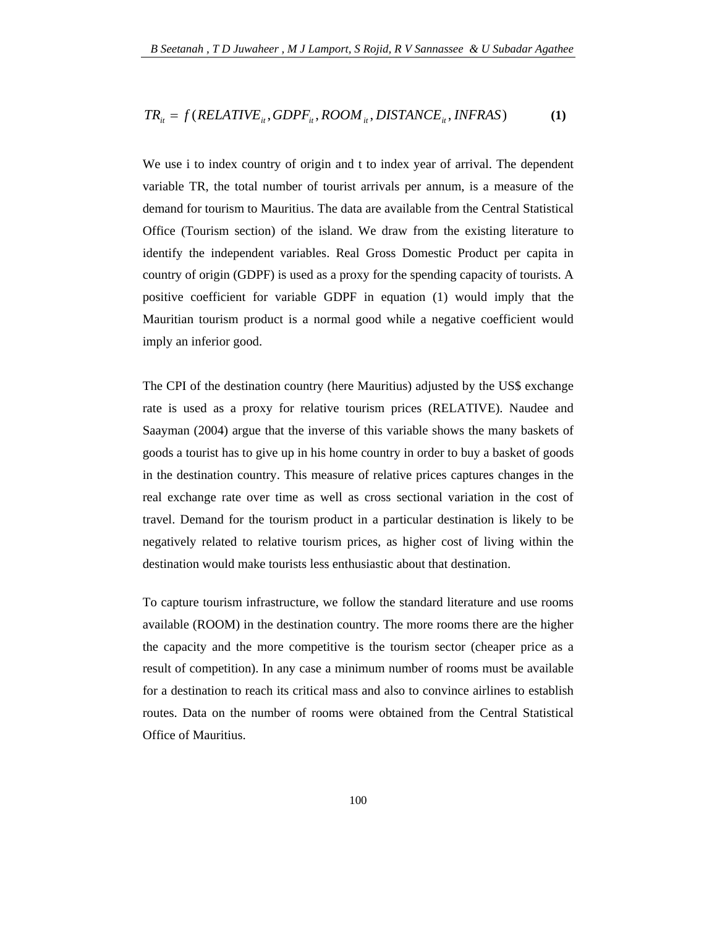$$
TR_{it} = f(RELATIVE_{it}, GDPF_{it}, Room_{it}, DISTANCE_{it}, INFRAS)
$$
 (1)

We use i to index country of origin and t to index year of arrival. The dependent variable TR, the total number of tourist arrivals per annum, is a measure of the demand for tourism to Mauritius. The data are available from the Central Statistical Office (Tourism section) of the island. We draw from the existing literature to identify the independent variables. Real Gross Domestic Product per capita in country of origin (GDPF) is used as a proxy for the spending capacity of tourists. A positive coefficient for variable GDPF in equation (1) would imply that the Mauritian tourism product is a normal good while a negative coefficient would imply an inferior good.

The CPI of the destination country (here Mauritius) adjusted by the US\$ exchange rate is used as a proxy for relative tourism prices (RELATIVE). Naudee and Saayman (2004) argue that the inverse of this variable shows the many baskets of goods a tourist has to give up in his home country in order to buy a basket of goods in the destination country. This measure of relative prices captures changes in the real exchange rate over time as well as cross sectional variation in the cost of travel. Demand for the tourism product in a particular destination is likely to be negatively related to relative tourism prices, as higher cost of living within the destination would make tourists less enthusiastic about that destination.

To capture tourism infrastructure, we follow the standard literature and use rooms available (ROOM) in the destination country. The more rooms there are the higher the capacity and the more competitive is the tourism sector (cheaper price as a result of competition). In any case a minimum number of rooms must be available for a destination to reach its critical mass and also to convince airlines to establish routes. Data on the number of rooms were obtained from the Central Statistical Office of Mauritius.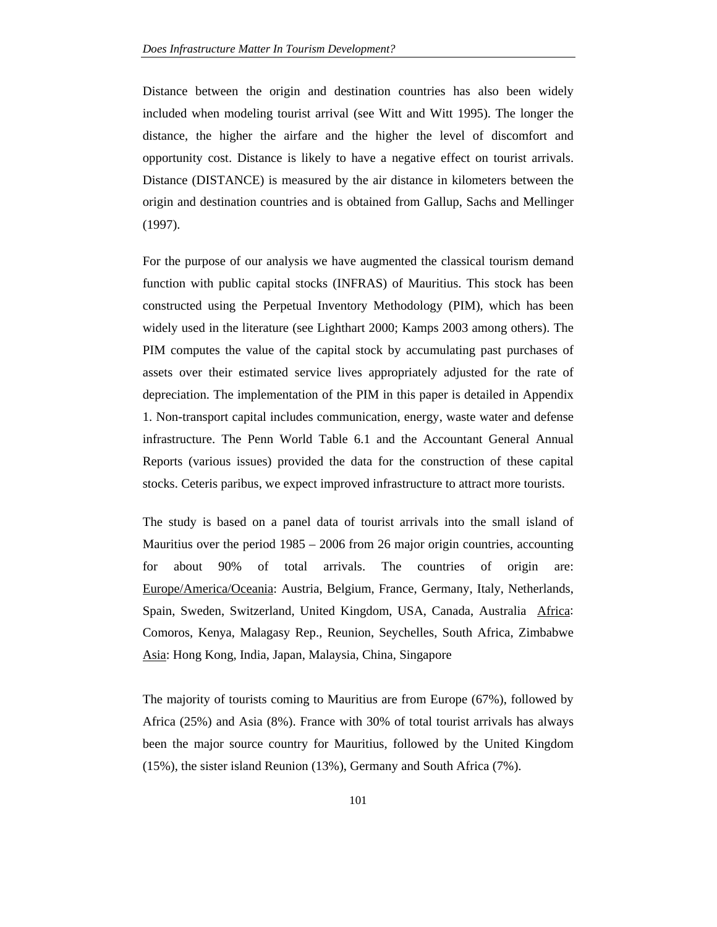Distance between the origin and destination countries has also been widely included when modeling tourist arrival (see Witt and Witt 1995). The longer the distance, the higher the airfare and the higher the level of discomfort and opportunity cost. Distance is likely to have a negative effect on tourist arrivals. Distance (DISTANCE) is measured by the air distance in kilometers between the origin and destination countries and is obtained from Gallup, Sachs and Mellinger (1997).

For the purpose of our analysis we have augmented the classical tourism demand function with public capital stocks (INFRAS) of Mauritius. This stock has been constructed using the Perpetual Inventory Methodology (PIM), which has been widely used in the literature (see Lighthart 2000; Kamps 2003 among others). The PIM computes the value of the capital stock by accumulating past purchases of assets over their estimated service lives appropriately adjusted for the rate of depreciation. The implementation of the PIM in this paper is detailed in Appendix 1. Non-transport capital includes communication, energy, waste water and defense infrastructure. The Penn World Table 6.1 and the Accountant General Annual Reports (various issues) provided the data for the construction of these capital stocks. Ceteris paribus, we expect improved infrastructure to attract more tourists.

The study is based on a panel data of tourist arrivals into the small island of Mauritius over the period 1985 – 2006 from 26 major origin countries, accounting for about 90% of total arrivals. The countries of origin are: Europe/America/Oceania: Austria, Belgium, France, Germany, Italy, Netherlands, Spain, Sweden, Switzerland, United Kingdom, USA, Canada, Australia Africa: Comoros, Kenya, Malagasy Rep., Reunion, Seychelles, South Africa, Zimbabwe Asia: Hong Kong, India, Japan, Malaysia, China, Singapore

The majority of tourists coming to Mauritius are from Europe (67%), followed by Africa (25%) and Asia (8%). France with 30% of total tourist arrivals has always been the major source country for Mauritius, followed by the United Kingdom (15%), the sister island Reunion (13%), Germany and South Africa (7%).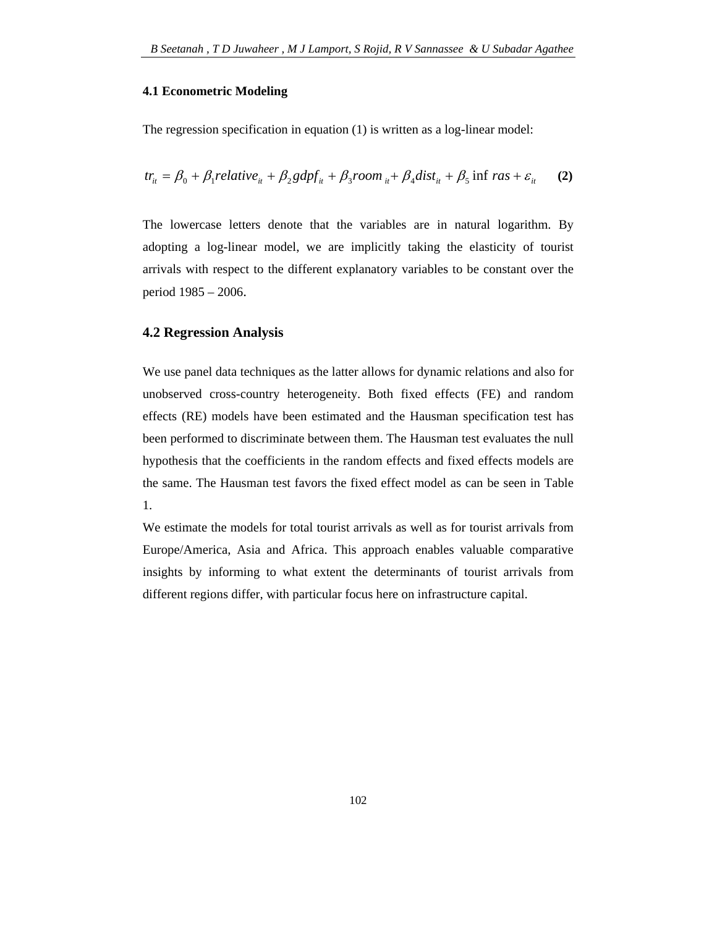#### **4.1 Econometric Modeling**

The regression specification in equation (1) is written as a log-linear model:

$$
tr_{it} = \beta_0 + \beta_1 relative_{it} + \beta_2 gdpf_{it} + \beta_3 room_{it} + \beta_4 dist_{it} + \beta_5 \inf \, ras + \varepsilon_{it} \tag{2}
$$

The lowercase letters denote that the variables are in natural logarithm. By adopting a log-linear model, we are implicitly taking the elasticity of tourist arrivals with respect to the different explanatory variables to be constant over the period 1985 – 2006.

#### **4.2 Regression Analysis**

We use panel data techniques as the latter allows for dynamic relations and also for unobserved cross-country heterogeneity. Both fixed effects (FE) and random effects (RE) models have been estimated and the Hausman specification test has been performed to discriminate between them. The Hausman test evaluates the null hypothesis that the coefficients in the random effects and fixed effects models are the same. The Hausman test favors the fixed effect model as can be seen in Table 1.

We estimate the models for total tourist arrivals as well as for tourist arrivals from Europe/America, Asia and Africa. This approach enables valuable comparative insights by informing to what extent the determinants of tourist arrivals from different regions differ, with particular focus here on infrastructure capital.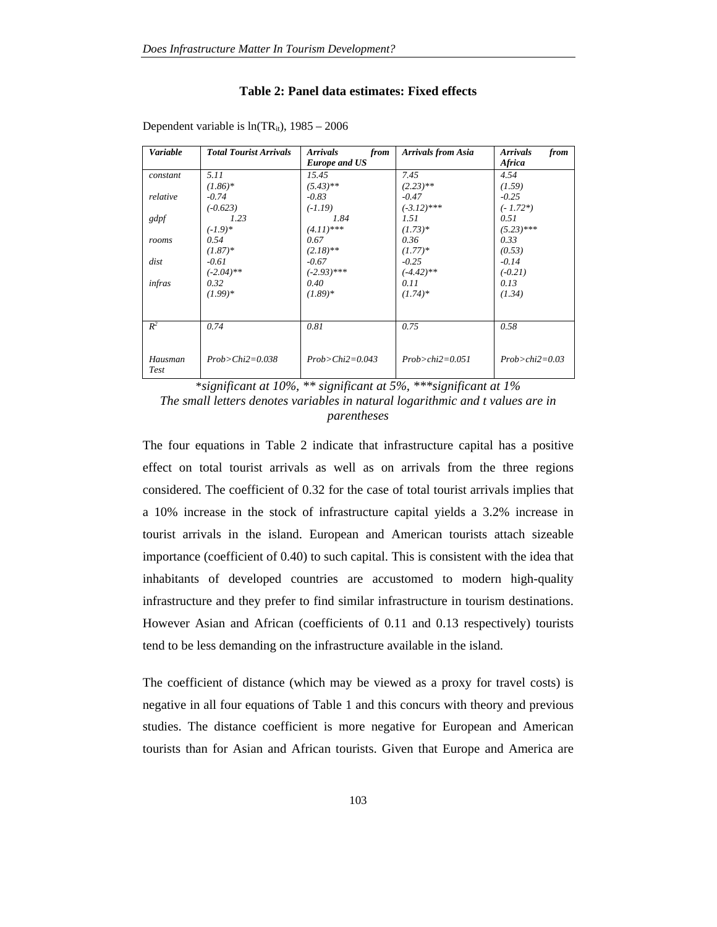#### **Table 2: Panel data estimates: Fixed effects**

| <b>Variable</b> | <b>Total Tourist Arrivals</b> | <i><b>Arrivals</b></i><br>from<br><b>Europe and US</b> | <b>Arrivals from Asia</b> | <b>Arrivals</b><br>from<br>Africa |
|-----------------|-------------------------------|--------------------------------------------------------|---------------------------|-----------------------------------|
| constant        | 5.11                          | 15.45                                                  | 7.45                      | 4.54                              |
|                 | $(1.86)*$                     | $(5.43)$ **                                            | $(2.23)$ **               | (1.59)                            |
| relative        | $-0.74$                       | $-0.83$                                                | $-0.47$                   | $-0.25$                           |
|                 | $(-0.623)$                    | $(-1.19)$                                              | $(-3.12)$ ***             | $(-1.72*)$                        |
| gdpf            | 1.23                          | 1.84                                                   | 1.51                      | 0.51                              |
|                 | $(-1.9)*$                     | $(4.11)$ ***                                           | $(1.73)*$                 | $(5.23)$ ***                      |
| rooms           | 0.54                          | 0.67                                                   | 0.36                      | 0.33                              |
|                 | $(1.87)*$                     | $(2.18)$ **                                            | $(1.77)*$                 | (0.53)                            |
| dist            | $-0.61$                       | $-0.67$                                                | $-0.25$                   | $-0.14$                           |
|                 | $(-2.04)$ **                  | $(-2.93)$ ***                                          | $(-4.42)$ **              | $(-0.21)$                         |
| infras          | 0.32                          | 0.40                                                   | 0.11                      | 0.13                              |
|                 | $(1.99)*$                     | $(1.89)*$                                              | $(1.74)^*$                | (1.34)                            |
| $R^2$           | 0.74                          | 0.81                                                   | 0.75                      | 0.58                              |
|                 |                               |                                                        |                           |                                   |
| Hausman<br>Test | $Prob > Chi2 = 0.038$         | $Prob > Chi2=0.043$                                    | $Prob > chi2 = 0.051$     | $Prob > chi2 = 0.03$              |

Dependent variable is  $ln(TR_{it})$ , 1985 – 2006

\**significant at 10%, \*\* significant at 5%, \*\*\*significant at 1% The small letters denotes variables in natural logarithmic and t values are in parentheses* 

The four equations in Table 2 indicate that infrastructure capital has a positive effect on total tourist arrivals as well as on arrivals from the three regions considered. The coefficient of 0.32 for the case of total tourist arrivals implies that a 10% increase in the stock of infrastructure capital yields a 3.2% increase in tourist arrivals in the island. European and American tourists attach sizeable importance (coefficient of 0.40) to such capital. This is consistent with the idea that inhabitants of developed countries are accustomed to modern high-quality infrastructure and they prefer to find similar infrastructure in tourism destinations. However Asian and African (coefficients of 0.11 and 0.13 respectively) tourists tend to be less demanding on the infrastructure available in the island.

The coefficient of distance (which may be viewed as a proxy for travel costs) is negative in all four equations of Table 1 and this concurs with theory and previous studies. The distance coefficient is more negative for European and American tourists than for Asian and African tourists. Given that Europe and America are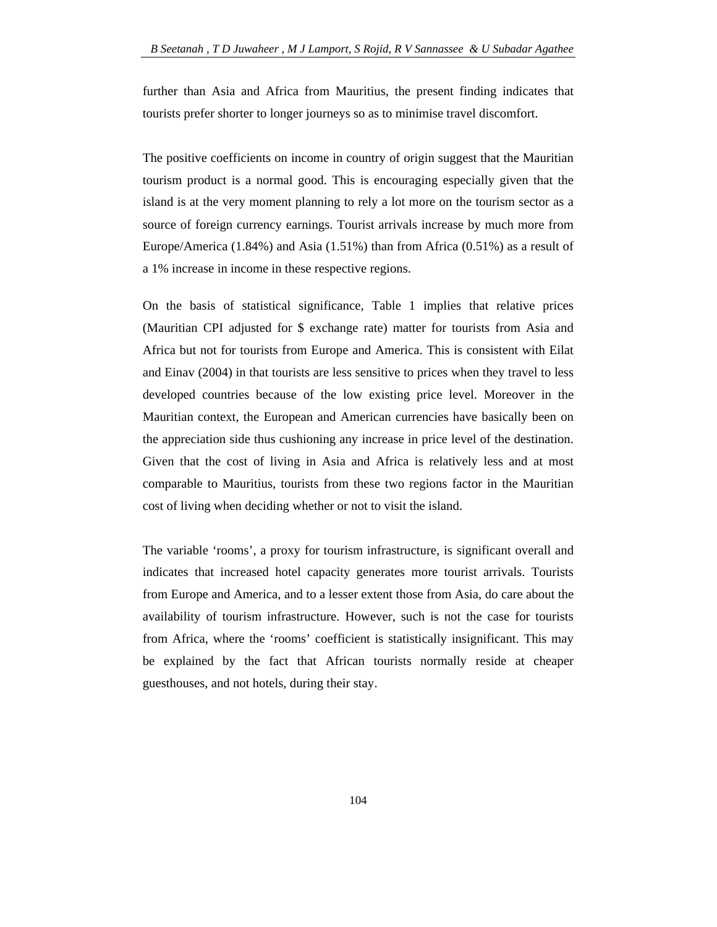further than Asia and Africa from Mauritius, the present finding indicates that tourists prefer shorter to longer journeys so as to minimise travel discomfort.

The positive coefficients on income in country of origin suggest that the Mauritian tourism product is a normal good. This is encouraging especially given that the island is at the very moment planning to rely a lot more on the tourism sector as a source of foreign currency earnings. Tourist arrivals increase by much more from Europe/America (1.84%) and Asia (1.51%) than from Africa (0.51%) as a result of a 1% increase in income in these respective regions.

On the basis of statistical significance, Table 1 implies that relative prices (Mauritian CPI adjusted for \$ exchange rate) matter for tourists from Asia and Africa but not for tourists from Europe and America. This is consistent with Eilat and Einav (2004) in that tourists are less sensitive to prices when they travel to less developed countries because of the low existing price level. Moreover in the Mauritian context, the European and American currencies have basically been on the appreciation side thus cushioning any increase in price level of the destination. Given that the cost of living in Asia and Africa is relatively less and at most comparable to Mauritius, tourists from these two regions factor in the Mauritian cost of living when deciding whether or not to visit the island.

The variable 'rooms', a proxy for tourism infrastructure, is significant overall and indicates that increased hotel capacity generates more tourist arrivals. Tourists from Europe and America, and to a lesser extent those from Asia, do care about the availability of tourism infrastructure. However, such is not the case for tourists from Africa, where the 'rooms' coefficient is statistically insignificant. This may be explained by the fact that African tourists normally reside at cheaper guesthouses, and not hotels, during their stay.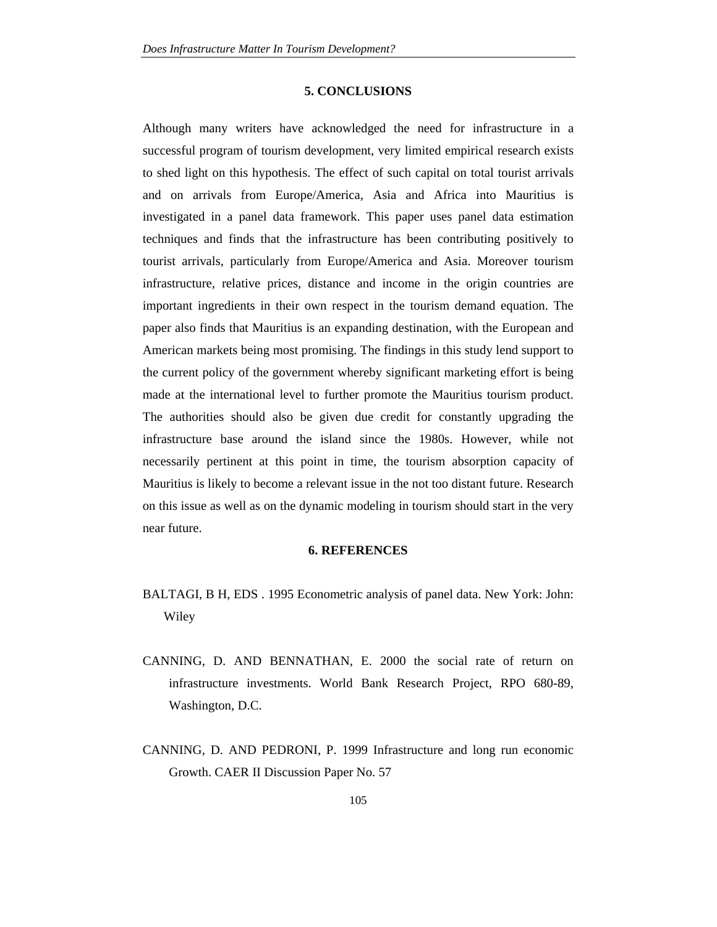#### **5. CONCLUSIONS**

Although many writers have acknowledged the need for infrastructure in a successful program of tourism development, very limited empirical research exists to shed light on this hypothesis. The effect of such capital on total tourist arrivals and on arrivals from Europe/America, Asia and Africa into Mauritius is investigated in a panel data framework. This paper uses panel data estimation techniques and finds that the infrastructure has been contributing positively to tourist arrivals, particularly from Europe/America and Asia. Moreover tourism infrastructure, relative prices, distance and income in the origin countries are important ingredients in their own respect in the tourism demand equation. The paper also finds that Mauritius is an expanding destination, with the European and American markets being most promising. The findings in this study lend support to the current policy of the government whereby significant marketing effort is being made at the international level to further promote the Mauritius tourism product. The authorities should also be given due credit for constantly upgrading the infrastructure base around the island since the 1980s. However, while not necessarily pertinent at this point in time, the tourism absorption capacity of Mauritius is likely to become a relevant issue in the not too distant future. Research on this issue as well as on the dynamic modeling in tourism should start in the very near future.

## **6. REFERENCES**

- BALTAGI, B H, EDS . 1995 Econometric analysis of panel data. New York: John: Wiley
- CANNING, D. AND BENNATHAN, E. 2000 the social rate of return on infrastructure investments. World Bank Research Project, RPO 680-89, Washington, D.C.
- CANNING, D. AND PEDRONI, P. 1999 Infrastructure and long run economic Growth. CAER II Discussion Paper No. 57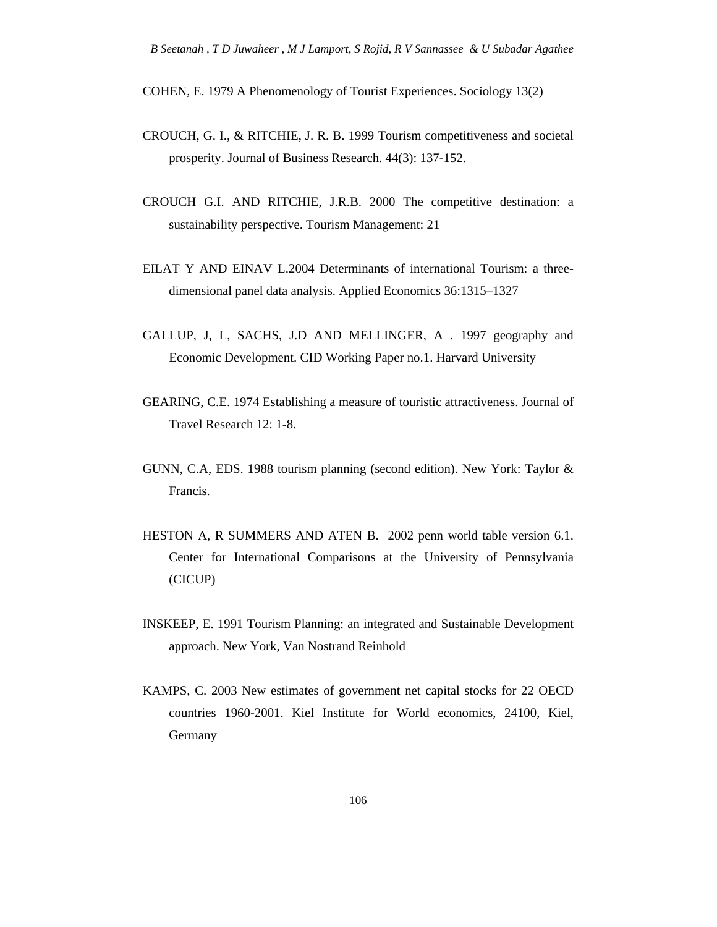COHEN, E. 1979 A Phenomenology of Tourist Experiences. Sociology 13(2)

- CROUCH, G. I., & RITCHIE, J. R. B. 1999 Tourism competitiveness and societal prosperity. Journal of Business Research. 44(3): 137-152.
- CROUCH G.I. AND RITCHIE, J.R.B. 2000 The competitive destination: a sustainability perspective. Tourism Management: 21
- EILAT Y AND EINAV L.2004 Determinants of international Tourism: a threedimensional panel data analysis. Applied Economics 36:1315–1327
- GALLUP, J, L, SACHS, J.D AND MELLINGER, A . 1997 geography and Economic Development. CID Working Paper no.1. Harvard University
- GEARING, C.E. 1974 Establishing a measure of touristic attractiveness. Journal of Travel Research 12: 1-8.
- GUNN, C.A, EDS. 1988 tourism planning (second edition). New York: Taylor & Francis.
- HESTON A, R SUMMERS AND ATEN B. 2002 penn world table version 6.1. Center for International Comparisons at the University of Pennsylvania (CICUP)
- INSKEEP, E. 1991 Tourism Planning: an integrated and Sustainable Development approach. New York, Van Nostrand Reinhold
- KAMPS, C. 2003 New estimates of government net capital stocks for 22 OECD countries 1960-2001. Kiel Institute for World economics, 24100, Kiel, Germany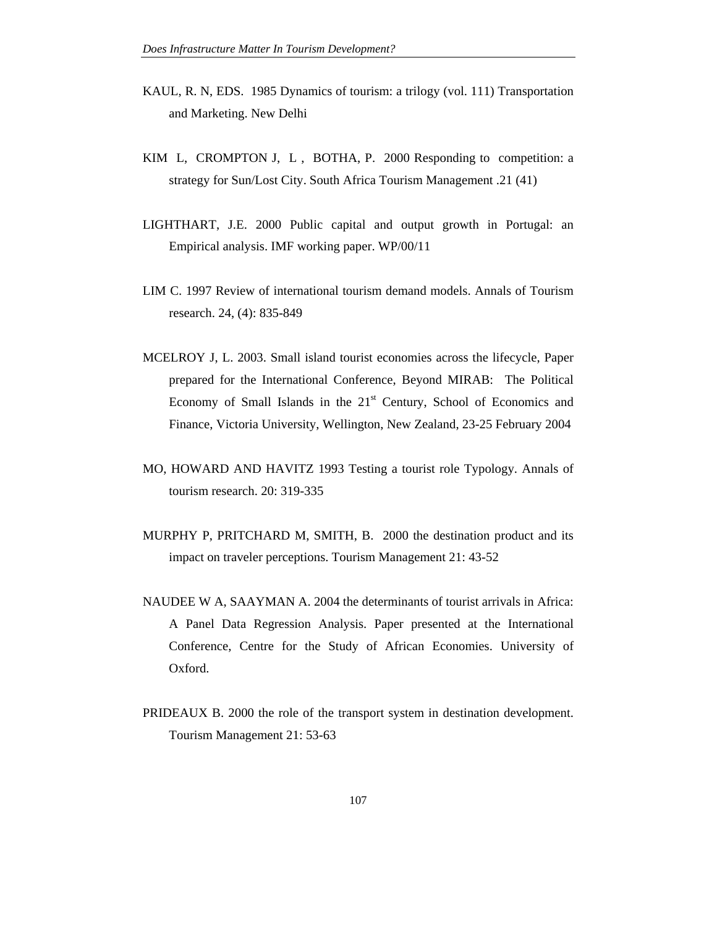- KAUL, R. N, EDS. 1985 Dynamics of tourism: a trilogy (vol. 111) Transportation and Marketing. New Delhi
- KIM L, CROMPTON J, L , BOTHA, P. 2000 Responding to competition: a strategy for Sun/Lost City. South Africa Tourism Management .21 (41)
- LIGHTHART, J.E. 2000 Public capital and output growth in Portugal: an Empirical analysis. IMF working paper. WP/00/11
- LIM C. 1997 Review of international tourism demand models. Annals of Tourism research. 24, (4): 835-849
- MCELROY J, L. 2003. Small island tourist economies across the lifecycle, Paper prepared for the International Conference, Beyond MIRAB: The Political Economy of Small Islands in the  $21<sup>st</sup>$  Century, School of Economics and Finance, Victoria University, Wellington, New Zealand, 23-25 February 2004
- MO, HOWARD AND HAVITZ 1993 Testing a tourist role Typology. Annals of tourism research. 20: 319-335
- MURPHY P, PRITCHARD M, SMITH, B. 2000 the destination product and its impact on traveler perceptions. Tourism Management 21: 43-52
- NAUDEE W A, SAAYMAN A. 2004 the determinants of tourist arrivals in Africa: A Panel Data Regression Analysis. Paper presented at the International Conference, Centre for the Study of African Economies. University of Oxford.
- PRIDEAUX B. 2000 the role of the transport system in destination development. Tourism Management 21: 53-63